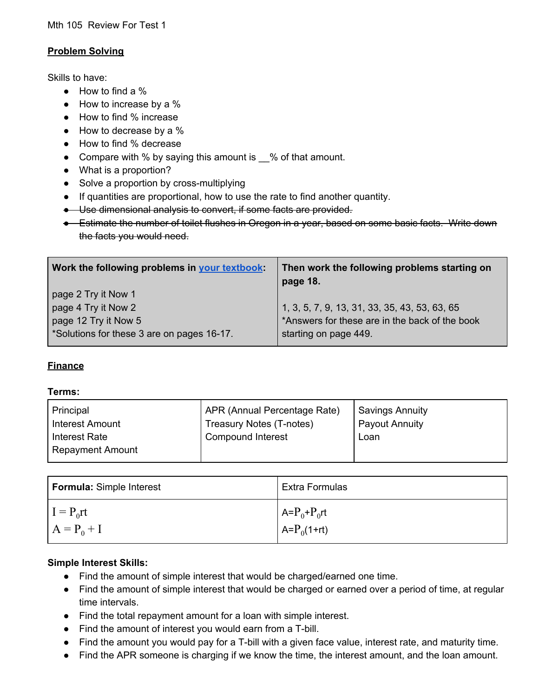#### **Problem Solving**

Skills to have:

- How to find a %
- $\bullet$  How to increase by a %
- How to find % increase
- $\bullet$  How to decrease by a %
- How to find % decrease
- Compare with % by saying this amount is 6 % of that amount.
- What is a proportion?
- Solve a proportion by cross-multiplying
- If quantities are proportional, how to use the rate to find another quantity.
- Use dimensional analysis to convert, if some facts are provided.
- Estimate the number of toilet flushes in Oregon in a year, based on some basic facts. Write down the facts you would need.

| Work the following problems in your textbook: | Then work the following problems starting on<br>page 18. |
|-----------------------------------------------|----------------------------------------------------------|
| page 2 Try it Now 1                           |                                                          |
| page 4 Try it Now 2                           | $\vert$ 1, 3, 5, 7, 9, 13, 31, 33, 35, 43, 53, 63, 65    |
| page 12 Try it Now 5                          | *Answers for these are in the back of the book           |
| *Solutions for these 3 are on pages 16-17.    | starting on page 449.                                    |

### **Finance**

#### **Terms:**

| Principal               | APR (Annual Percentage Rate) | <b>Savings Annuity</b> |
|-------------------------|------------------------------|------------------------|
| <b>Interest Amount</b>  | Treasury Notes (T-notes)     | <b>Payout Annuity</b>  |
| Interest Rate           | Compound Interest            | Loan                   |
| <b>Repayment Amount</b> |                              |                        |
|                         |                              |                        |

| <b>Formula: Simple Interest</b> | <b>Extra Formulas</b> |
|---------------------------------|-----------------------|
| $I = P_0$ rt                    | $A = P_0 + P_0$ rt    |
| $A = P_0 + I$                   | $A = P_0(1 + rt)$     |

#### **Simple Interest Skills:**

- Find the amount of simple interest that would be charged/earned one time.
- Find the amount of simple interest that would be charged or earned over a period of time, at regular time intervals.
- Find the total repayment amount for a loan with simple interest.
- Find the amount of interest you would earn from a T-bill.
- Find the amount you would pay for a T-bill with a given face value, interest rate, and maturity time.
- Find the APR someone is charging if we know the time, the interest amount, and the loan amount.